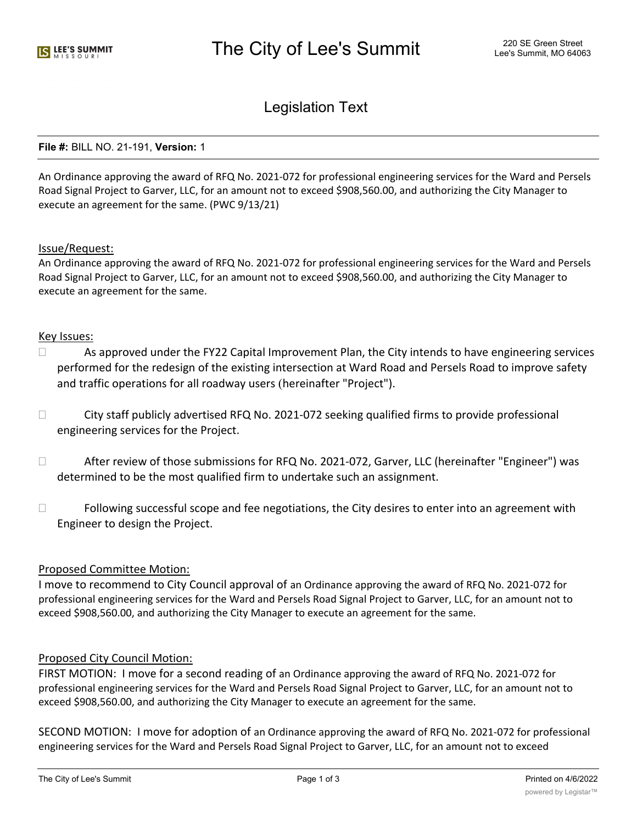# Legislation Text

#### **File #:** BILL NO. 21-191, **Version:** 1

An Ordinance approving the award of RFQ No. 2021-072 for professional engineering services for the Ward and Persels Road Signal Project to Garver, LLC, for an amount not to exceed \$908,560.00, and authorizing the City Manager to execute an agreement for the same. (PWC 9/13/21)

#### Issue/Request:

An Ordinance approving the award of RFQ No. 2021-072 for professional engineering services for the Ward and Persels Road Signal Project to Garver, LLC, for an amount not to exceed \$908,560.00, and authorizing the City Manager to execute an agreement for the same.

#### Key Issues:

- $\Box$  As approved under the FY22 Capital Improvement Plan, the City intends to have engineering services performed for the redesign of the existing intersection at Ward Road and Persels Road to improve safety and traffic operations for all roadway users (hereinafter "Project").
- $\Box$  City staff publicly advertised RFQ No. 2021-072 seeking qualified firms to provide professional engineering services for the Project.
- $\Box$  After review of those submissions for RFQ No. 2021-072, Garver, LLC (hereinafter "Engineer") was determined to be the most qualified firm to undertake such an assignment.
- $\Box$  Following successful scope and fee negotiations, the City desires to enter into an agreement with Engineer to design the Project.

# Proposed Committee Motion:

I move to recommend to City Council approval of an Ordinance approving the award of RFQ No. 2021-072 for professional engineering services for the Ward and Persels Road Signal Project to Garver, LLC, for an amount not to exceed \$908,560.00, and authorizing the City Manager to execute an agreement for the same.

# Proposed City Council Motion:

FIRST MOTION: I move for a second reading of an Ordinance approving the award of RFQ No. 2021-072 for professional engineering services for the Ward and Persels Road Signal Project to Garver, LLC, for an amount not to exceed \$908,560.00, and authorizing the City Manager to execute an agreement for the same.

SECOND MOTION: I move for adoption of an Ordinance approving the award of RFQ No. 2021-072 for professional engineering services for the Ward and Persels Road Signal Project to Garver, LLC, for an amount not to exceed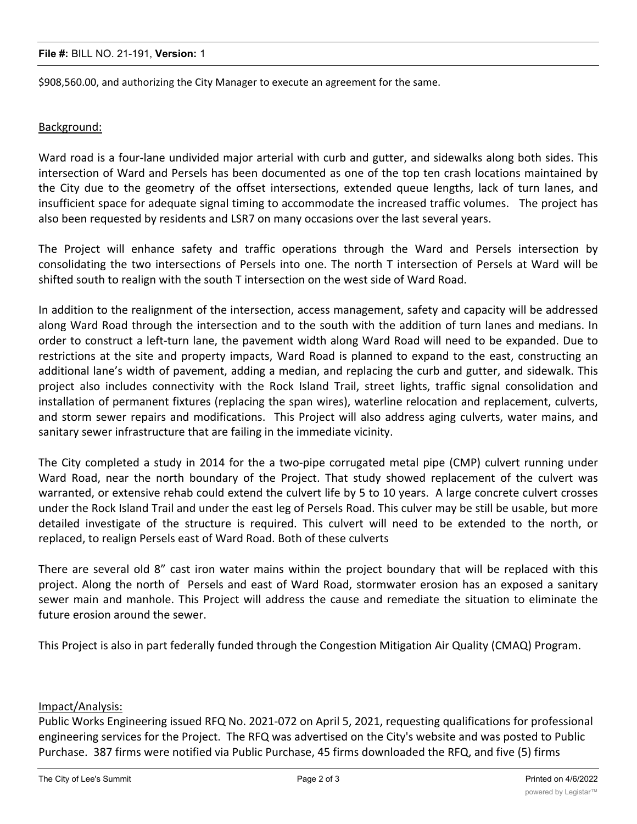#### **File #:** BILL NO. 21-191, **Version:** 1

\$908,560.00, and authorizing the City Manager to execute an agreement for the same.

# Background:

Ward road is a four-lane undivided major arterial with curb and gutter, and sidewalks along both sides. This intersection of Ward and Persels has been documented as one of the top ten crash locations maintained by the City due to the geometry of the offset intersections, extended queue lengths, lack of turn lanes, and insufficient space for adequate signal timing to accommodate the increased traffic volumes. The project has also been requested by residents and LSR7 on many occasions over the last several years.

The Project will enhance safety and traffic operations through the Ward and Persels intersection by consolidating the two intersections of Persels into one. The north T intersection of Persels at Ward will be shifted south to realign with the south T intersection on the west side of Ward Road.

In addition to the realignment of the intersection, access management, safety and capacity will be addressed along Ward Road through the intersection and to the south with the addition of turn lanes and medians. In order to construct a left-turn lane, the pavement width along Ward Road will need to be expanded. Due to restrictions at the site and property impacts, Ward Road is planned to expand to the east, constructing an additional lane's width of pavement, adding a median, and replacing the curb and gutter, and sidewalk. This project also includes connectivity with the Rock Island Trail, street lights, traffic signal consolidation and installation of permanent fixtures (replacing the span wires), waterline relocation and replacement, culverts, and storm sewer repairs and modifications. This Project will also address aging culverts, water mains, and sanitary sewer infrastructure that are failing in the immediate vicinity.

The City completed a study in 2014 for the a two-pipe corrugated metal pipe (CMP) culvert running under Ward Road, near the north boundary of the Project. That study showed replacement of the culvert was warranted, or extensive rehab could extend the culvert life by 5 to 10 years. A large concrete culvert crosses under the Rock Island Trail and under the east leg of Persels Road. This culver may be still be usable, but more detailed investigate of the structure is required. This culvert will need to be extended to the north, or replaced, to realign Persels east of Ward Road. Both of these culverts

There are several old 8" cast iron water mains within the project boundary that will be replaced with this project. Along the north of Persels and east of Ward Road, stormwater erosion has an exposed a sanitary sewer main and manhole. This Project will address the cause and remediate the situation to eliminate the future erosion around the sewer.

This Project is also in part federally funded through the Congestion Mitigation Air Quality (CMAQ) Program.

# Impact/Analysis:

Public Works Engineering issued RFQ No. 2021-072 on April 5, 2021, requesting qualifications for professional engineering services for the Project. The RFQ was advertised on the City's website and was posted to Public Purchase. 387 firms were notified via Public Purchase, 45 firms downloaded the RFQ, and five (5) firms